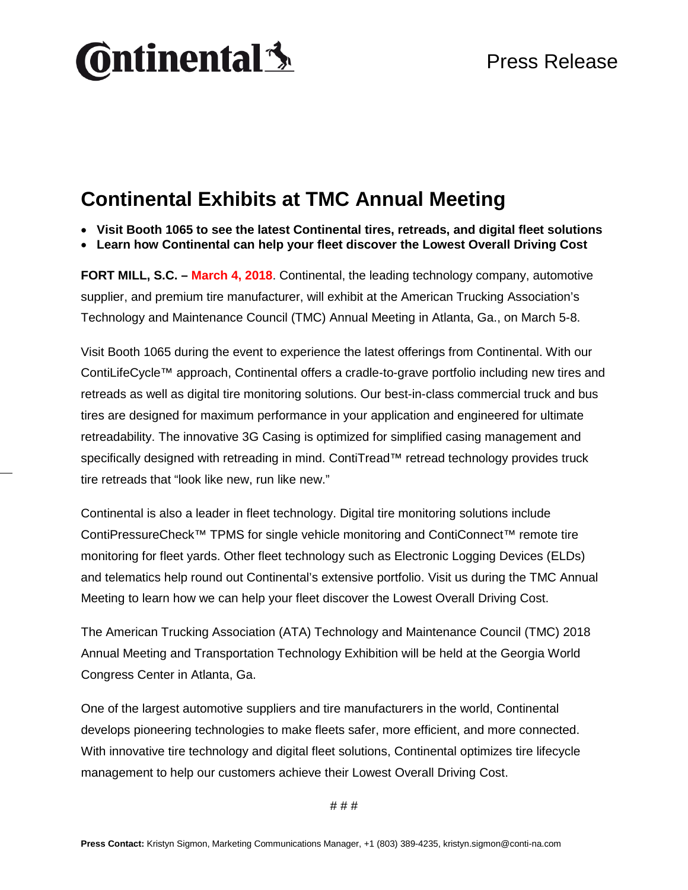# **Ontinental** \$

### **Continental Exhibits at TMC Annual Meeting**

- **Visit Booth 1065 to see the latest Continental tires, retreads, and digital fleet solutions**
- **Learn how Continental can help your fleet discover the Lowest Overall Driving Cost**

**FORT MILL, S.C. – March 4, 2018**. Continental, the leading technology company, automotive supplier, and premium tire manufacturer, will exhibit at the American Trucking Association's Technology and Maintenance Council (TMC) Annual Meeting in Atlanta, Ga., on March 5-8.

Visit Booth 1065 during the event to experience the latest offerings from Continental. With our ContiLifeCycle™ approach, Continental offers a cradle-to-grave portfolio including new tires and retreads as well as digital tire monitoring solutions. Our best-in-class commercial truck and bus tires are designed for maximum performance in your application and engineered for ultimate retreadability. The innovative 3G Casing is optimized for simplified casing management and specifically designed with retreading in mind. ContiTread™ retread technology provides truck tire retreads that "look like new, run like new."

Continental is also a leader in fleet technology. Digital tire monitoring solutions include ContiPressureCheck™ TPMS for single vehicle monitoring and ContiConnect™ remote tire monitoring for fleet yards. Other fleet technology such as Electronic Logging Devices (ELDs) and telematics help round out Continental's extensive portfolio. Visit us during the TMC Annual Meeting to learn how we can help your fleet discover the Lowest Overall Driving Cost.

The American Trucking Association (ATA) Technology and Maintenance Council (TMC) 2018 Annual Meeting and Transportation Technology Exhibition will be held at the Georgia World Congress Center in Atlanta, Ga.

One of the largest automotive suppliers and tire manufacturers in the world, Continental develops pioneering technologies to make fleets safer, more efficient, and more connected. With innovative tire technology and digital fleet solutions, Continental optimizes tire lifecycle management to help our customers achieve their Lowest Overall Driving Cost.

# # #